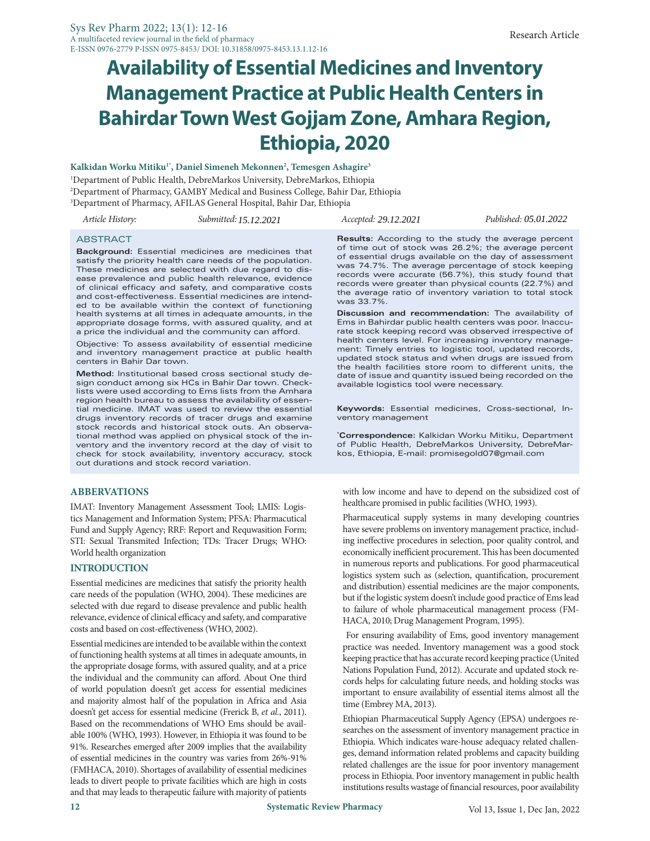# **Availability of Essential Medicines and Inventory Management Practice at Public Health Centers in Bahirdar Town West Gojjam Zone, Amhara Region, Ethiopia, 2020**

#### **Kalkidan Worku Mitiku1\*, Daniel Simeneh Mekonnen2 , Temesgen Ashagire3**

1 Department of Public Health, DebreMarkos University, DebreMarkos, Ethiopia 2 Department of Pharmacy, GAMBY Medical and Business College, Bahir Dar, Ethiopia 3 Department of Pharmacy, AFILAS General Hospital, Bahir Dar, Ethiopia

*10.08.2021 Article History: Submitted: Published: 17.08.2021 15.12.2021 Accepted: 29.12.2021 05.01.2022*

#### ABSTRACT

**Background:** Essential medicines are medicines that satisfy the priority health care needs of the population. These medicines are selected with due regard to disease prevalence and public health relevance, evidence of clinical efficacy and safety, and comparative costs and cost-effectiveness. Essential medicines are intended to be available within the context of functioning health systems at all times in adequate amounts, in the appropriate dosage forms, with assured quality, and at a price the individual and the community can afford.

Objective: To assess availability of essential medicine and inventory management practice at public health centers in Bahir Dar town.

**Method:** Institutional based cross sectional study design conduct among six HCs in Bahir Dar town. Checklists were used according to Ems lists from the Amhara region health bureau to assess the availability of essential medicine. IMAT was used to review the essential drugs inventory records of tracer drugs and examine stock records and historical stock outs. An observational method was applied on physical stock of the inventory and the inventory record at the day of visit to check for stock availability, inventory accuracy, stock out durations and stock record variation.

## **ABBERVATIONS**

IMAT: Inventory Management Assessment Tool; LMIS: Logistics Management and Information System; PFSA: Pharmacutical Fund and Supply Agency; RRF: Report and Requwasition Form; STI: Sexual Transmited Infection; TDs: Tracer Drugs; WHO: World health organization

#### **INTRODUCTION**

Essential medicines are medicines that satisfy the priority health care needs of the population (WHO, 2004). These medicines are selected with due regard to disease prevalence and public health relevance, evidence of clinical efficacy and safety, and comparative costs and based on cost-effectiveness (WHO, 2002).

Essential medicines are intended to be available within the context of functioning health systems at all times in adequate amounts, in the appropriate dosage forms, with assured quality, and at a price the individual and the community can afford. About One third of world population doesn't get access for essential medicines and majority almost half of the population in Africa and Asia doesn't get access for essential medicine (Frerick B, *et al.*, 2011). Based on the recommendations of WHO Ems should be available 100% (WHO, 1993). However, in Ethiopia it was found to be 91%. Researches emerged after 2009 implies that the availability of essential medicines in the country was varies from 26%-91% (FMHACA, 2010). Shortages of availability of essential medicines leads to divert people to private facilities which are high in costs and that may leads to therapeutic failure with majority of patients

**Results:** According to the study the average percent of time out of stock was 26.2%; the average percent of essential drugs available on the day of assessment was 74.7%. The average percentage of stock keeping records were accurate (56.7%), this study found that records were greater than physical counts (22.7%) and the average ratio of inventory variation to total stock was 33.7%.

**Discussion and recommendation:** The availability of Ems in Bahirdar public health centers was poor. Inaccurate stock keeping record was observed irrespective of health centers level. For increasing inventory management: Timely entries to logistic tool, updated records, updated stock status and when drugs are issued from the health facilities store room to different units, the date of issue and quantity issued being recorded on the available logistics tool were necessary.

**Keywords:** Essential medicines, Cross-sectional, Inventory management

**\* Correspondence:** Kalkidan Worku Mitiku, Department of Public Health, DebreMarkos University, DebreMarkos, Ethiopia, E-mail: promisegold07@gmail.com

with low income and have to depend on the subsidized cost of healthcare promised in public facilities (WHO, 1993).

Pharmaceutical supply systems in many developing countries have severe problems on inventory management practice, including ineffective procedures in selection, poor quality control, and economically inefficient procurement. This has been documented in numerous reports and publications. For good pharmaceutical logistics system such as (selection, quantification, procurement and distribution) essential medicines are the major components, but if the logistic system doesn't include good practice of Ems lead to failure of whole pharmaceutical management process (FM-HACA, 2010; Drug Management Program, 1995).

 For ensuring availability of Ems, good inventory management practice was needed. Inventory management was a good stock keeping practice that has accurate record keeping practice (United Nations Population Fund, 2012). Accurate and updated stock records helps for calculating future needs, and holding stocks was important to ensure availability of essential items almost all the time (Embrey MA, 2013).

Ethiopian Pharmaceutical Supply Agency (EPSA) undergoes researches on the assessment of inventory management practice in Ethiopia. Which indicates ware-house adequacy related challenges, demand information related problems and capacity building related challenges are the issue for poor inventory management process in Ethiopia. Poor inventory management in public health institutions results wastage of financial resources, poor availability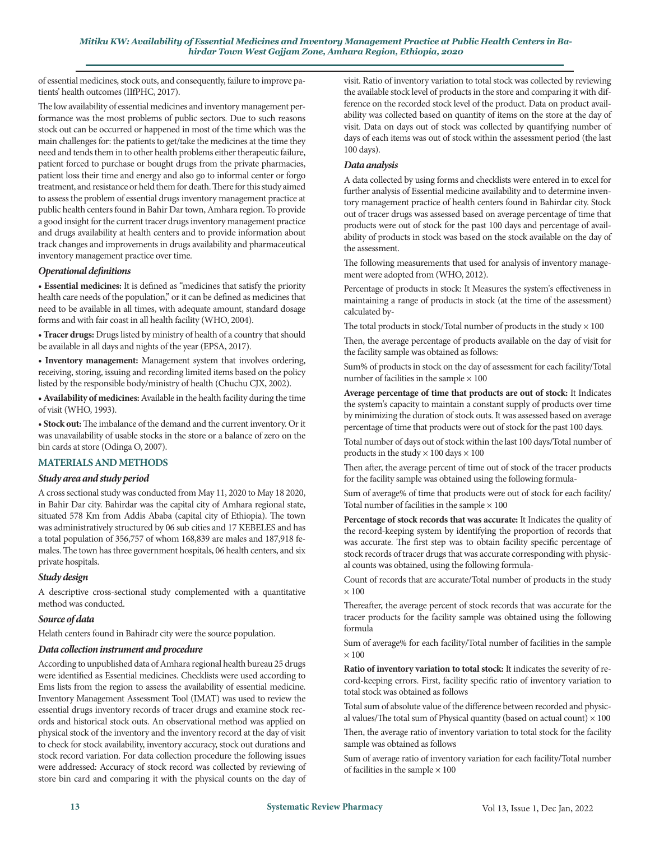of essential medicines, stock outs, and consequently, failure to improve patients' health outcomes (IIfPHC, 2017).

The low availability of essential medicines and inventory management performance was the most problems of public sectors. Due to such reasons stock out can be occurred or happened in most of the time which was the main challenges for: the patients to get/take the medicines at the time they need and tends them in to other health problems either therapeutic failure, patient forced to purchase or bought drugs from the private pharmacies, patient loss their time and energy and also go to informal center or forgo treatment, and resistance or held them for death. There for this study aimed to assess the problem of essential drugs inventory management practice at public health centers found in Bahir Dar town, Amhara region. To provide a good insight for the current tracer drugs inventory management practice and drugs availability at health centers and to provide information about track changes and improvements in drugs availability and pharmaceutical inventory management practice over time.

## *Operational definitions*

• **Essential medicines:** It is defined as "medicines that satisfy the priority health care needs of the population," or it can be defined as medicines that need to be available in all times, with adequate amount, standard dosage forms and with fair coast in all health facility (WHO, 2004).

• **Tracer drugs:** Drugs listed by ministry of health of a country that should be available in all days and nights of the year (EPSA, 2017).

**• Inventory management:** Management system that involves ordering, receiving, storing, issuing and recording limited items based on the policy listed by the responsible body/ministry of health (Chuchu CJX, 2002).

• **Availability of medicines:** Available in the health facility during the time of visit (WHO, 1993).

• **Stock out:** The imbalance of the demand and the current inventory. Or it was unavailability of usable stocks in the store or a balance of zero on the bin cards at store (Odinga O, 2007).

# **MATERIALS AND METHODS**

## *Study area and study period*

A cross sectional study was conducted from May 11, 2020 to May 18 2020, in Bahir Dar city. Bahirdar was the capital city of Amhara regional state, situated 578 Km from Addis Ababa (capital city of Ethiopia). The town was administratively structured by 06 sub cities and 17 KEBELES and has a total population of 356,757 of whom 168,839 are males and 187,918 females. The town has three government hospitals, 06 health centers, and six private hospitals.

## *Study design*

A descriptive cross-sectional study complemented with a quantitative method was conducted.

## *Source of data*

Helath centers found in Bahiradr city were the source population.

#### *Data collection instrument and procedure*

According to unpublished data of Amhara regional health bureau 25 drugs were identified as Essential medicines. Checklists were used according to Ems lists from the region to assess the availability of essential medicine. Inventory Management Assessment Tool (IMAT) was used to review the essential drugs inventory records of tracer drugs and examine stock records and historical stock outs. An observational method was applied on physical stock of the inventory and the inventory record at the day of visit to check for stock availability, inventory accuracy, stock out durations and stock record variation. For data collection procedure the following issues were addressed: Accuracy of stock record was collected by reviewing of store bin card and comparing it with the physical counts on the day of visit. Ratio of inventory variation to total stock was collected by reviewing the available stock level of products in the store and comparing it with difference on the recorded stock level of the product. Data on product availability was collected based on quantity of items on the store at the day of visit. Data on days out of stock was collected by quantifying number of days of each items was out of stock within the assessment period (the last 100 days).

#### *Data analysis*

A data collected by using forms and checklists were entered in to excel for further analysis of Essential medicine availability and to determine inventory management practice of health centers found in Bahirdar city. Stock out of tracer drugs was assessed based on average percentage of time that products were out of stock for the past 100 days and percentage of availability of products in stock was based on the stock available on the day of the assessment.

The following measurements that used for analysis of inventory management were adopted from (WHO, 2012).

Percentage of products in stock: It Measures the system's effectiveness in maintaining a range of products in stock (at the time of the assessment) calculated by-

The total products in stock/Total number of products in the study  $\times$  100

Then, the average percentage of products available on the day of visit for the facility sample was obtained as follows:

Sum% of products in stock on the day of assessment for each facility/Total number of facilities in the sample  $\times$  100

**Average percentage of time that products are out of stock:** It Indicates the system's capacity to maintain a constant supply of products over time by minimizing the duration of stock outs. It was assessed based on average percentage of time that products were out of stock for the past 100 days.

Total number of days out of stock within the last 100 days/Total number of products in the study  $\times$  100 days  $\times$  100

Then after, the average percent of time out of stock of the tracer products for the facility sample was obtained using the following formula-

Sum of average% of time that products were out of stock for each facility/ Total number of facilities in the sample  $\times$  100

**Percentage of stock records that was accurate:** It Indicates the quality of the record-keeping system by identifying the proportion of records that was accurate. The first step was to obtain facility specific percentage of stock records of tracer drugs that was accurate corresponding with physical counts was obtained, using the following formula-

Count of records that are accurate/Total number of products in the study  $\times$  100

Thereafter, the average percent of stock records that was accurate for the tracer products for the facility sample was obtained using the following formula

Sum of average% for each facility/Total number of facilities in the sample  $\times$  100

**Ratio of inventory variation to total stock:** It indicates the severity of record-keeping errors. First, facility specific ratio of inventory variation to total stock was obtained as follows

Total sum of absolute value of the difference between recorded and physical values/The total sum of Physical quantity (based on actual count)  $\times$  100

Then, the average ratio of inventory variation to total stock for the facility sample was obtained as follows

Sum of average ratio of inventory variation for each facility/Total number of facilities in the sample  $\times$  100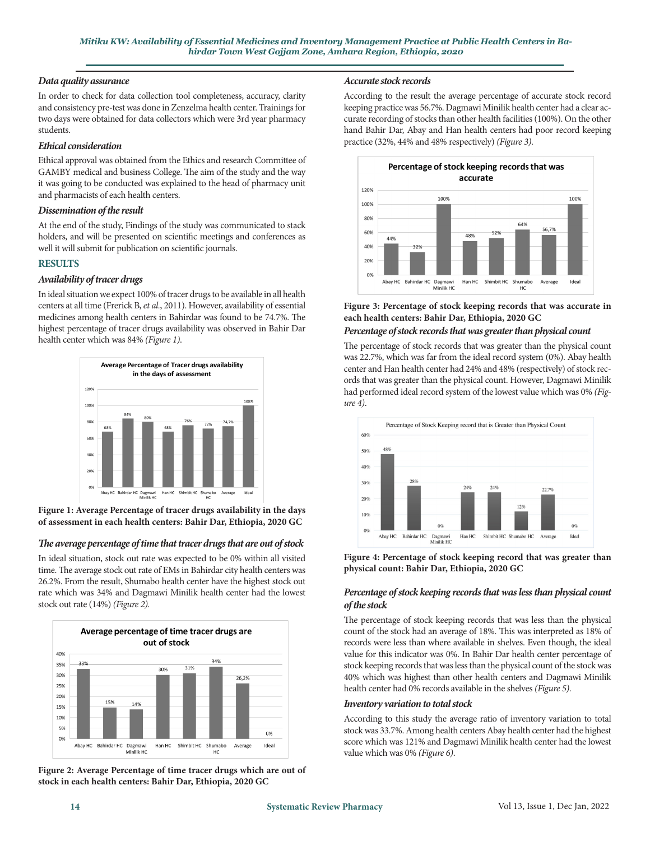## *Data quality assurance*

In order to check for data collection tool completeness, accuracy, clarity and consistency pre-test was done in Zenzelma health center. Trainings for two days were obtained for data collectors which were 3rd year pharmacy students.

## *Ethical consideration*

Ethical approval was obtained from the Ethics and research Committee of GAMBY medical and business College. The aim of the study and the way it was going to be conducted was explained to the head of pharmacy unit and pharmacists of each health centers.

## *Dissemination of the result*

At the end of the study, Findings of the study was communicated to stack holders, and will be presented on scientific meetings and conferences as well it will submit for publication on scientific journals.

# **RESULTS**

## *Availability of tracer drugs*

In ideal situation we expect 100% of tracer drugs to be available in all health centers at all time (Frerick B, *et al.*, 2011). However, availability of essential medicines among health centers in Bahirdar was found to be 74.7%. The highest percentage of tracer drugs availability was observed in Bahir Dar health center which was 84% *(Figure 1)*.



**Figure 1: Average Percentage of tracer drugs availability in the days of assessment in each health centers: Bahir Dar, Ethiopia, 2020 GC** 

# *The average percentage of time that tracer drugs that are out of stock*

In ideal situation, stock out rate was expected to be 0% within all visited time. The average stock out rate of EMs in Bahirdar city health centers was 26.2%. From the result, Shumabo health center have the highest stock out rate which was 34% and Dagmawi Minilik health center had the lowest stock out rate (14%) *(Figure 2).*



**Figure 2: Average Percentage of time tracer drugs which are out of stock in each health centers: Bahir Dar, Ethiopia, 2020 GC**

#### *Accurate stock records*

According to the result the average percentage of accurate stock record keeping practice was 56.7%. Dagmawi Minilik health center had a clear accurate recording of stocks than other health facilities (100%). On the other hand Bahir Dar, Abay and Han health centers had poor record keeping practice (32%, 44% and 48% respectively) *(Figure 3)*.



**Figure 3: Percentage of stock keeping records that was accurate in each health centers: Bahir Dar, Ethiopia, 2020 GC**

# *Percentage of stock records that was greater than physical count*

The percentage of stock records that was greater than the physical count was 22.7%, which was far from the ideal record system (0%). Abay health center and Han health center had 24% and 48% (respectively) of stock records that was greater than the physical count. However, Dagmawi Minilik had performed ideal record system of the lowest value which was 0% *(Figure 4)*.



**Figure 4: Percentage of stock keeping record that was greater than physical count: Bahir Dar, Ethiopia, 2020 GC**

## *Percentage of stock keeping records that was less than physical count of the stock*

The percentage of stock keeping records that was less than the physical count of the stock had an average of 18%. This was interpreted as 18% of records were less than where available in shelves. Even though, the ideal value for this indicator was 0%. In Bahir Dar health center percentage of stock keeping records that was less than the physical count of the stock was 40% which was highest than other health centers and Dagmawi Minilik health center had 0% records available in the shelves *(Figure 5)*.

## *Inventory variation to total stock*

According to this study the average ratio of inventory variation to total stock was 33.7%. Among health centers Abay health center had the highest score which was 121% and Dagmawi Minilik health center had the lowest value which was 0% *(Figure 6)*.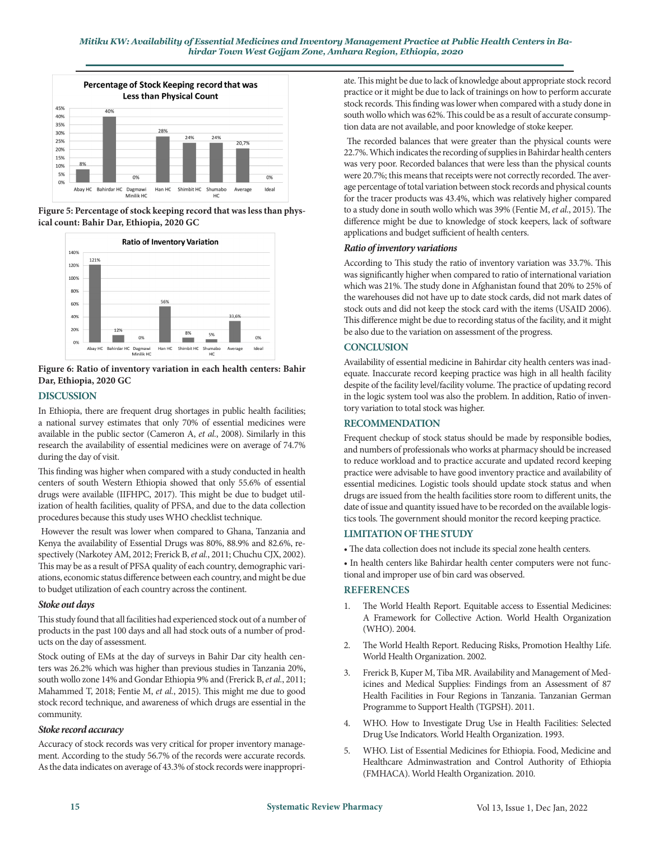

**Figure 5: Percentage of stock keeping record that was less than physical count: Bahir Dar, Ethiopia, 2020 GC**



**Figure 6: Ratio of inventory variation in each health centers: Bahir Dar, Ethiopia, 2020 GC**

## **DISCUSSION**

In Ethiopia, there are frequent drug shortages in public health facilities; a national survey estimates that only 70% of essential medicines were available in the public sector (Cameron A, *et al.*, 2008). Similarly in this research the availability of essential medicines were on average of 74.7% during the day of visit.

This finding was higher when compared with a study conducted in health centers of south Western Ethiopia showed that only 55.6% of essential drugs were available (IIFHPC, 2017). This might be due to budget utilization of health facilities, quality of PFSA, and due to the data collection procedures because this study uses WHO checklist technique.

 However the result was lower when compared to Ghana, Tanzania and Kenya the availability of Essential Drugs was 80%, 88.9% and 82.6%, respectively (Narkotey AM, 2012; Frerick B, *et al.*, 2011; Chuchu CJX, 2002). This may be as a result of PFSA quality of each country, demographic variations, economic status difference between each country, and might be due to budget utilization of each country across the continent.

## *Stoke out days*

This study found that all facilities had experienced stock out of a number of products in the past 100 days and all had stock outs of a number of products on the day of assessment.

Stock outing of EMs at the day of surveys in Bahir Dar city health centers was 26.2% which was higher than previous studies in Tanzania 20%, south wollo zone 14% and Gondar Ethiopia 9% and (Frerick B, *et al.*, 2011; Mahammed T, 2018; Fentie M, *et al.*, 2015). This might me due to good stock record technique, and awareness of which drugs are essential in the community.

## *Stoke record accuracy*

Accuracy of stock records was very critical for proper inventory management. According to the study 56.7% of the records were accurate records. As the data indicates on average of 43.3% of stock records were inappropri-

ate. This might be due to lack of knowledge about appropriate stock record practice or it might be due to lack of trainings on how to perform accurate stock records. This finding was lower when compared with a study done in south wollo which was 62%. This could be as a result of accurate consumption data are not available, and poor knowledge of stoke keeper.

 The recorded balances that were greater than the physical counts were 22.7%. Which indicates the recording of supplies in Bahirdar health centers was very poor. Recorded balances that were less than the physical counts were 20.7%; this means that receipts were not correctly recorded. The average percentage of total variation between stock records and physical counts for the tracer products was 43.4%, which was relatively higher compared to a study done in south wollo which was 39% (Fentie M, *et al.*, 2015). The difference might be due to knowledge of stock keepers, lack of software applications and budget sufficient of health centers.

## *Ratio of inventory variations*

According to This study the ratio of inventory variation was 33.7%. This was significantly higher when compared to ratio of international variation which was 21%. The study done in Afghanistan found that 20% to 25% of the warehouses did not have up to date stock cards, did not mark dates of stock outs and did not keep the stock card with the items (USAID 2006). This difference might be due to recording status of the facility, and it might be also due to the variation on assessment of the progress.

## **CONCLUSION**

Availability of essential medicine in Bahirdar city health centers was inadequate. Inaccurate record keeping practice was high in all health facility despite of the facility level/facility volume. The practice of updating record in the logic system tool was also the problem. In addition, Ratio of inventory variation to total stock was higher.

## **RECOMMENDATION**

Frequent checkup of stock status should be made by responsible bodies, and numbers of professionals who works at pharmacy should be increased to reduce workload and to practice accurate and updated record keeping practice were advisable to have good inventory practice and availability of essential medicines. Logistic tools should update stock status and when drugs are issued from the health facilities store room to different units, the date of issue and quantity issued have to be recorded on the available logistics tools. The government should monitor the record keeping practice.

## **LIMITATION OF THE STUDY**

• The data collection does not include its special zone health centers.

• In health centers like Bahirdar health center computers were not functional and improper use of bin card was observed.

## **REFERENCES**

- 1. [The World Health Report. Equitable access to Essential Medicines:](https://apps.who.int/iris/bitstream/handle/10665/68571/?sequence=1) A Framework for Collective Action. World Health Organization (WHO). 2004.
- 2. [The World Health Report. Reducing Risks, Promotion Healthy Life.](https://apps.who.int/iris/bitstream/handle/10665/42510/WHR_2002.pdf)  World Health Organization. 2002.
- 3. Frerick B, Kuper M, Tiba MR. Availability and Management of Med[icines and Medical Supplies: Findings from an Assessment of 87](https://www.healthpromotiontanzania.org/index.php/en/library122/other-documents/national/doc_view/149-medicines-management-assessment-2011-final.html)  Health Facilities in Four Regions in Tanzania. Tanzanian German Programme to Support Health (TGPSH). 2011.
- 4. [WHO. How to Investigate Drug Use in Health Facilities: Selected](https://apps.who.int/iris/bitstream/handle/10665/60519/WHO_DAP_93.1.pdf)  Drug Use Indicators. World Health Organization. 1993.
- 5. [WHO. List of Essential Medicines for Ethiopia. Food, Medicine and](https://www.who.int/selection_medicines/country_lists/Ethiopia_2010.pdf)  Healthcare Adminwastration and Control Authority of Ethiopia (FMHACA). World Health Organization. 2010.